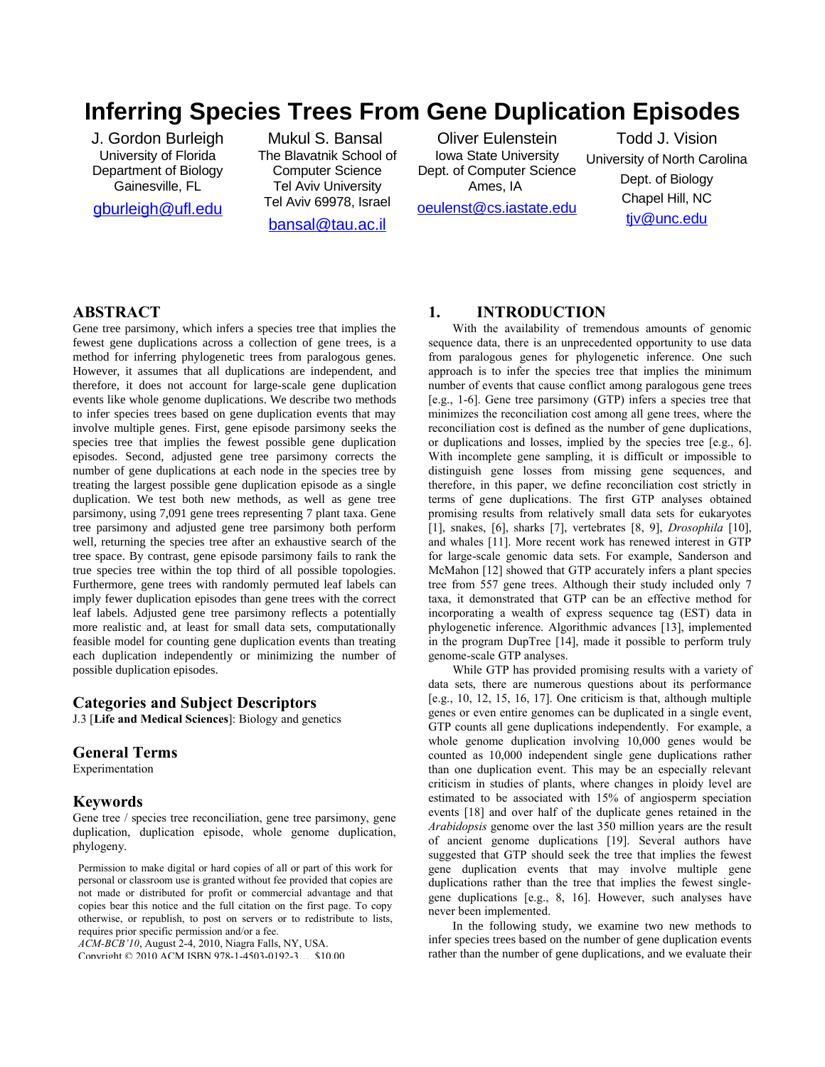# **Inferring Species Trees From Gene Duplication Episodes**

J. Gordon Burleigh University of Florida Department of Biology Gainesville, FL

[gburleigh@ufl.edu](mailto:gburleigh@ufl.edu)

Mukul S. Bansal The Blavatnik School of Computer Science Tel Aviv University Tel Aviv 69978, Israel

[bansal@tau.ac.il](mailto:bansal@tau.ac.il)

Oliver Eulenstein Iowa State University Dept. of Computer Science Ames, IA

[oeulenst@cs.iastate.edu](mailto:oeulenst@cs.iastate.edu)

Todd J. Vision University of North Carolina Dept. of Biology Chapel Hill, NC [tjv@unc.edu](mailto:tjv@unc.edu)

## **ABSTRACT**

Gene tree parsimony, which infers a species tree that implies the fewest gene duplications across a collection of gene trees, is a method for inferring phylogenetic trees from paralogous genes. However, it assumes that all duplications are independent, and therefore, it does not account for large-scale gene duplication events like whole genome duplications. We describe two methods to infer species trees based on gene duplication events that may involve multiple genes. First, gene episode parsimony seeks the species tree that implies the fewest possible gene duplication episodes. Second, adjusted gene tree parsimony corrects the number of gene duplications at each node in the species tree by treating the largest possible gene duplication episode as a single duplication. We test both new methods, as well as gene tree parsimony, using 7,091 gene trees representing 7 plant taxa. Gene tree parsimony and adjusted gene tree parsimony both perform well, returning the species tree after an exhaustive search of the tree space. By contrast, gene episode parsimony fails to rank the true species tree within the top third of all possible topologies. Furthermore, gene trees with randomly permuted leaf labels can imply fewer duplication episodes than gene trees with the correct leaf labels. Adjusted gene tree parsimony reflects a potentially more realistic and, at least for small data sets, computationally feasible model for counting gene duplication events than treating each duplication independently or minimizing the number of possible duplication episodes.

#### **Categories and Subject Descriptors**

J.3 [**Life and Medical Sciences**]: Biology and genetics

### **General Terms**

Experimentation

#### **Keywords**

Gene tree / species tree reconciliation, gene tree parsimony, gene duplication, duplication episode, whole genome duplication, phylogeny.

Permission to make digital or hard copies of all or part of this work for personal or classroom use is granted without fee provided that copies are not made or distributed for profit or commercial advantage and that copies bear this notice and the full citation on the first page. To copy otherwise, or republish, to post on servers or to redistribute to lists, requires prior specific permission and/or a fee.

*ACM-BCB'10*, August 2-4, 2010, Niagra Falls, NY, USA.

Copyright © 2010 ACM ISBN 978-1-4503-0192-3… \$10.00

# **1. INTRODUCTION**

With the availability of tremendous amounts of genomic sequence data, there is an unprecedented opportunity to use data from paralogous genes for phylogenetic inference. One such approach is to infer the species tree that implies the minimum number of events that cause conflict among paralogous gene trees [e.g., 1-6]. Gene tree parsimony (GTP) infers a species tree that minimizes the reconciliation cost among all gene trees, where the reconciliation cost is defined as the number of gene duplications, or duplications and losses, implied by the species tree [e.g., 6]. With incomplete gene sampling, it is difficult or impossible to distinguish gene losses from missing gene sequences, and therefore, in this paper, we define reconciliation cost strictly in terms of gene duplications. The first GTP analyses obtained promising results from relatively small data sets for eukaryotes [1], snakes, [6], sharks [7], vertebrates [8, 9], *Drosophila* [10], and whales [11]. More recent work has renewed interest in GTP for large-scale genomic data sets. For example, Sanderson and McMahon [12] showed that GTP accurately infers a plant species tree from 557 gene trees. Although their study included only 7 taxa, it demonstrated that GTP can be an effective method for incorporating a wealth of express sequence tag (EST) data in phylogenetic inference. Algorithmic advances [13], implemented in the program DupTree [14], made it possible to perform truly genome-scale GTP analyses.

While GTP has provided promising results with a variety of data sets, there are numerous questions about its performance  $[e.g., 10, 12, 15, 16, 17]$ . One criticism is that, although multiple genes or even entire genomes can be duplicated in a single event, GTP counts all gene duplications independently. For example, a whole genome duplication involving 10,000 genes would be counted as 10,000 independent single gene duplications rather than one duplication event. This may be an especially relevant criticism in studies of plants, where changes in ploidy level are estimated to be associated with 15% of angiosperm speciation events [18] and over half of the duplicate genes retained in the *Arabidopsis* genome over the last 350 million years are the result of ancient genome duplications [19]. Several authors have suggested that GTP should seek the tree that implies the fewest gene duplication events that may involve multiple gene duplications rather than the tree that implies the fewest singlegene duplications [e.g., 8, 16]. However, such analyses have never been implemented.

In the following study, we examine two new methods to infer species trees based on the number of gene duplication events rather than the number of gene duplications, and we evaluate their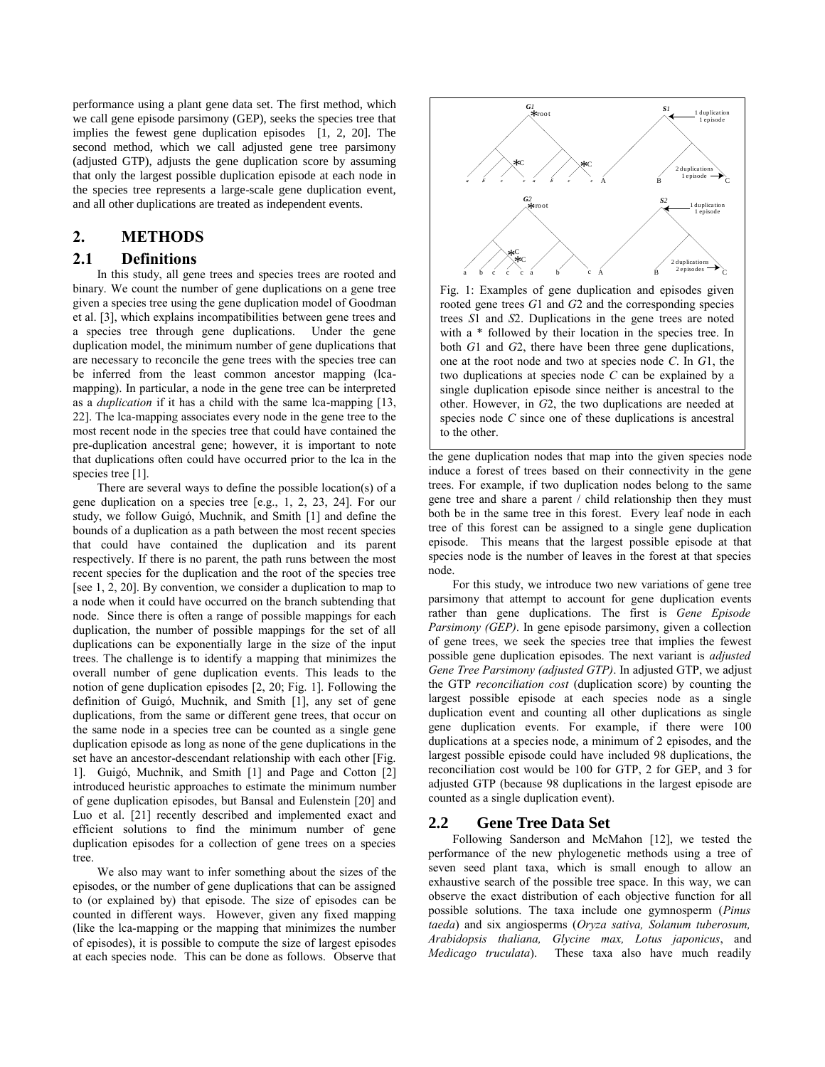performance using a plant gene data set. The first method, which we call gene episode parsimony (GEP), seeks the species tree that implies the fewest gene duplication episodes [1, 2, 20]. The second method, which we call adjusted gene tree parsimony (adjusted GTP), adjusts the gene duplication score by assuming that only the largest possible duplication episode at each node in the species tree represents a large-scale gene duplication event, and all other duplications are treated as independent events.

## **2. METHODS**

#### **2.1 Definitions**

In this study, all gene trees and species trees are rooted and binary. We count the number of gene duplications on a gene tree given a species tree using the gene duplication model of Goodman et al. [3], which explains incompatibilities between gene trees and a species tree through gene duplications. Under the gene duplication model, the minimum number of gene duplications that are necessary to reconcile the gene trees with the species tree can be inferred from the least common ancestor mapping (lcamapping). In particular, a node in the gene tree can be interpreted as a *duplication* if it has a child with the same lca-mapping [13, 22]. The lca-mapping associates every node in the gene tree to the most recent node in the species tree that could have contained the pre-duplication ancestral gene; however, it is important to note that duplications often could have occurred prior to the lca in the species tree [1].

There are several ways to define the possible location(s) of a gene duplication on a species tree [e.g., 1, 2, 23, 24]. For our study, we follow Guigó, Muchnik, and Smith [1] and define the bounds of a duplication as a path between the most recent species that could have contained the duplication and its parent respectively. If there is no parent, the path runs between the most recent species for the duplication and the root of the species tree [see 1, 2, 20]. By convention, we consider a duplication to map to a node when it could have occurred on the branch subtending that node. Since there is often a range of possible mappings for each duplication, the number of possible mappings for the set of all duplications can be exponentially large in the size of the input trees. The challenge is to identify a mapping that minimizes the overall number of gene duplication events. This leads to the notion of gene duplication episodes [2, 20; Fig. 1]. Following the definition of Guigó, Muchnik, and Smith [1], any set of gene duplications, from the same or different gene trees, that occur on the same node in a species tree can be counted as a single gene duplication episode as long as none of the gene duplications in the set have an ancestor-descendant relationship with each other [Fig. 1]. Guigó, Muchnik, and Smith [1] and Page and Cotton [2] introduced heuristic approaches to estimate the minimum number of gene duplication episodes, but Bansal and Eulenstein [20] and Luo et al. [21] recently described and implemented exact and efficient solutions to find the minimum number of gene duplication episodes for a collection of gene trees on a species tree.

We also may want to infer something about the sizes of the episodes, or the number of gene duplications that can be assigned to (or explained by) that episode. The size of episodes can be counted in different ways. However, given any fixed mapping (like the lca-mapping or the mapping that minimizes the number of episodes), it is possible to compute the size of largest episodes at each species node. This can be done as follows. Observe that



Fig. 1: Examples of gene duplication and episodes given rooted gene trees *G*1 and *G*2 and the corresponding species trees *S*1 and *S*2. Duplications in the gene trees are noted with a \* followed by their location in the species tree. In both *G*1 and *G*2, there have been three gene duplications, one at the root node and two at species node *C*. In *G*1, the two duplications at species node *C* can be explained by a single duplication episode since neither is ancestral to the other. However, in *G*2, the two duplications are needed at species node *C* since one of these duplications is ancestral to the other.

the gene duplication nodes that map into the given species node induce a forest of trees based on their connectivity in the gene trees. For example, if two duplication nodes belong to the same gene tree and share a parent / child relationship then they must both be in the same tree in this forest. Every leaf node in each tree of this forest can be assigned to a single gene duplication episode. This means that the largest possible episode at that species node is the number of leaves in the forest at that species node.

For this study, we introduce two new variations of gene tree parsimony that attempt to account for gene duplication events rather than gene duplications. The first is *Gene Episode Parsimony (GEP)*. In gene episode parsimony, given a collection of gene trees, we seek the species tree that implies the fewest possible gene duplication episodes. The next variant is *adjusted Gene Tree Parsimony (adjusted GTP)*. In adjusted GTP, we adjust the GTP *reconciliation cost* (duplication score) by counting the largest possible episode at each species node as a single duplication event and counting all other duplications as single gene duplication events. For example, if there were 100 duplications at a species node, a minimum of 2 episodes, and the largest possible episode could have included 98 duplications, the reconciliation cost would be 100 for GTP, 2 for GEP, and 3 for adjusted GTP (because 98 duplications in the largest episode are counted as a single duplication event).

#### **2.2 Gene Tree Data Set**

Following Sanderson and McMahon [12], we tested the performance of the new phylogenetic methods using a tree of seven seed plant taxa, which is small enough to allow an exhaustive search of the possible tree space. In this way, we can observe the exact distribution of each objective function for all possible solutions. The taxa include one gymnosperm (*Pinus taeda*) and six angiosperms (*Oryza sativa, Solanum tuberosum, Arabidopsis thaliana, Glycine max, Lotus japonicus*, and *Medicago truculata*). These taxa also have much readily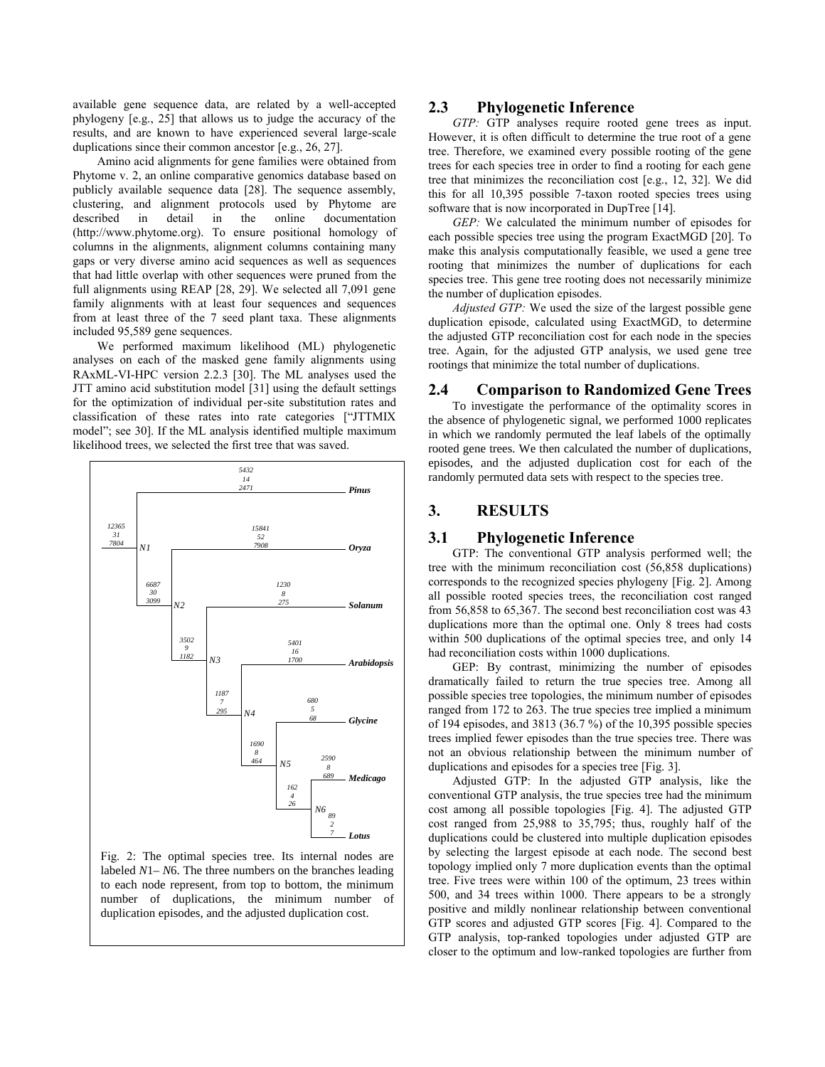available gene sequence data, are related by a well-accepted phylogeny [e.g., 25] that allows us to judge the accuracy of the results, and are known to have experienced several large-scale duplications since their common ancestor [e.g., 26, 27].

Amino acid alignments for gene families were obtained from Phytome v. 2, an online comparative genomics database based on publicly available sequence data [28]. The sequence assembly, clustering, and alignment protocols used by Phytome are described in detail in the online documentation (http://www.phytome.org). To ensure positional homology of columns in the alignments, alignment columns containing many gaps or very diverse amino acid sequences as well as sequences that had little overlap with other sequences were pruned from the full alignments using REAP [28, 29]. We selected all 7,091 gene family alignments with at least four sequences and sequences from at least three of the 7 seed plant taxa. These alignments included 95,589 gene sequences.

We performed maximum likelihood (ML) phylogenetic analyses on each of the masked gene family alignments using RAxML-VI-HPC version 2.2.3 [30]. The ML analyses used the JTT amino acid substitution model [31] using the default settings for the optimization of individual per-site substitution rates and classification of these rates into rate categories ["JTTMIX model"; see 30]. If the ML analysis identified multiple maximum likelihood trees, we selected the first tree that was saved.



Fig. 2: The optimal species tree. Its internal nodes are labeled *N*1– *N*6. The three numbers on the branches leading to each node represent, from top to bottom, the minimum number of duplications, the minimum number of duplication episodes, and the adjusted duplication cost.

### **2.3 Phylogenetic Inference**

*GTP:* GTP analyses require rooted gene trees as input. However, it is often difficult to determine the true root of a gene tree. Therefore, we examined every possible rooting of the gene trees for each species tree in order to find a rooting for each gene tree that minimizes the reconciliation cost [e.g., 12, 32]. We did this for all 10,395 possible 7-taxon rooted species trees using software that is now incorporated in DupTree [14].

*GEP:* We calculated the minimum number of episodes for each possible species tree using the program ExactMGD [20]. To make this analysis computationally feasible, we used a gene tree rooting that minimizes the number of duplications for each species tree. This gene tree rooting does not necessarily minimize the number of duplication episodes.

*Adjusted GTP:* We used the size of the largest possible gene duplication episode, calculated using ExactMGD, to determine the adjusted GTP reconciliation cost for each node in the species tree. Again, for the adjusted GTP analysis, we used gene tree rootings that minimize the total number of duplications.

### **2.4 Comparison to Randomized Gene Trees**

To investigate the performance of the optimality scores in the absence of phylogenetic signal, we performed 1000 replicates in which we randomly permuted the leaf labels of the optimally rooted gene trees. We then calculated the number of duplications, episodes, and the adjusted duplication cost for each of the randomly permuted data sets with respect to the species tree.

# **3. RESULTS**

### **3.1 Phylogenetic Inference**

GTP: The conventional GTP analysis performed well; the tree with the minimum reconciliation cost (56,858 duplications) corresponds to the recognized species phylogeny [Fig. 2]. Among all possible rooted species trees, the reconciliation cost ranged from 56,858 to 65,367. The second best reconciliation cost was 43 duplications more than the optimal one. Only 8 trees had costs within 500 duplications of the optimal species tree, and only 14 had reconciliation costs within 1000 duplications.

GEP: By contrast, minimizing the number of episodes dramatically failed to return the true species tree. Among all possible species tree topologies, the minimum number of episodes ranged from 172 to 263. The true species tree implied a minimum of 194 episodes, and 3813 (36.7 %) of the 10,395 possible species trees implied fewer episodes than the true species tree. There was not an obvious relationship between the minimum number of duplications and episodes for a species tree [Fig. 3].

Adjusted GTP: In the adjusted GTP analysis, like the conventional GTP analysis, the true species tree had the minimum cost among all possible topologies [Fig. 4]. The adjusted GTP cost ranged from 25,988 to 35,795; thus, roughly half of the duplications could be clustered into multiple duplication episodes by selecting the largest episode at each node. The second best topology implied only 7 more duplication events than the optimal tree. Five trees were within 100 of the optimum, 23 trees within 500, and 34 trees within 1000. There appears to be a strongly positive and mildly nonlinear relationship between conventional GTP scores and adjusted GTP scores [Fig. 4]. Compared to the GTP analysis, top-ranked topologies under adjusted GTP are closer to the optimum and low-ranked topologies are further from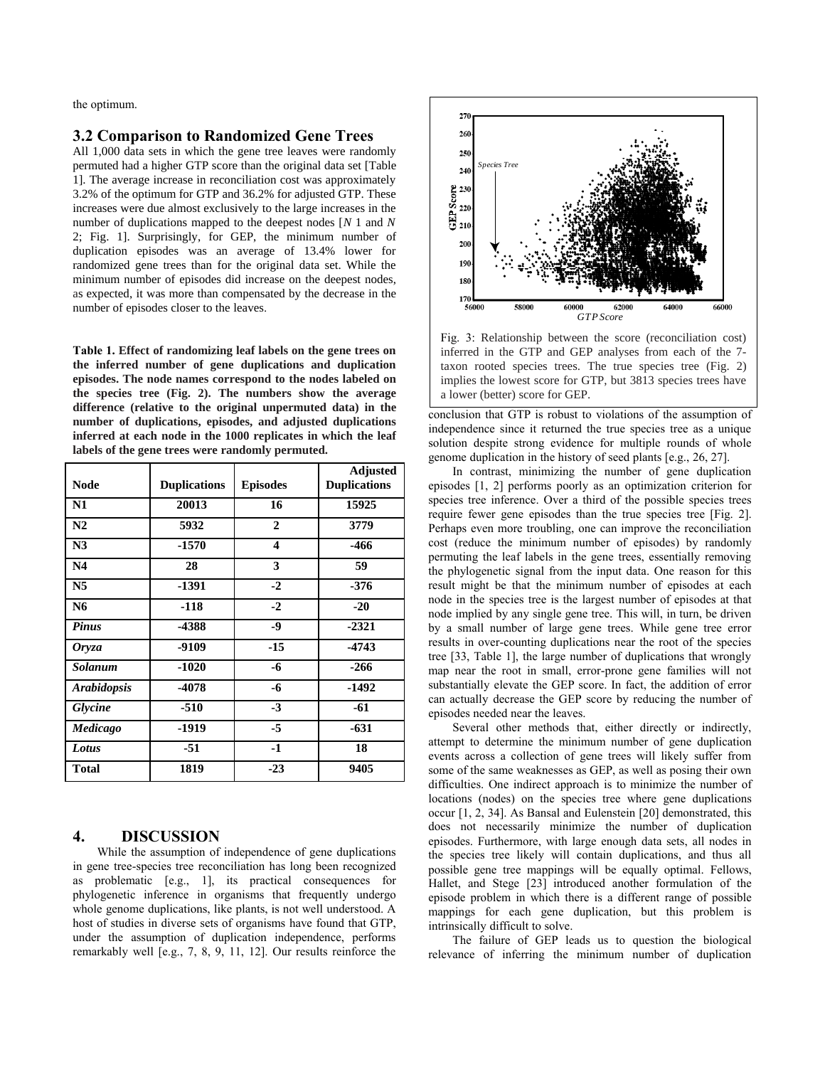the optimum.

#### **3.2 Comparison to Randomized Gene Trees**

All 1,000 data sets in which the gene tree leaves were randomly permuted had a higher GTP score than the original data set [Table 1]. The average increase in reconciliation cost was approximately 3.2% of the optimum for GTP and 36.2% for adjusted GTP. These increases were due almost exclusively to the large increases in the number of duplications mapped to the deepest nodes [*N* 1 and *N* 2; Fig. 1]. Surprisingly, for GEP, the minimum number of duplication episodes was an average of 13.4% lower for randomized gene trees than for the original data set. While the minimum number of episodes did increase on the deepest nodes, as expected, it was more than compensated by the decrease in the number of episodes closer to the leaves.

**Table 1. Effect of randomizing leaf labels on the gene trees on the inferred number of gene duplications and duplication episodes. The node names correspond to the nodes labeled on the species tree (Fig. 2). The numbers show the average difference (relative to the original unpermuted data) in the number of duplications, episodes, and adjusted duplications inferred at each node in the 1000 replicates in which the leaf labels of the gene trees were randomly permuted.**

|                    |                     |                         | <b>Adjusted</b>     |
|--------------------|---------------------|-------------------------|---------------------|
| <b>Node</b>        | <b>Duplications</b> | <b>Episodes</b>         | <b>Duplications</b> |
| N1                 | 20013               | 16                      | 15925               |
| N2                 | 5932                | $\overline{2}$          | 3779                |
| N <sub>3</sub>     | $-1570$             | $\overline{\mathbf{4}}$ | $-466$              |
| N <sub>4</sub>     | 28                  | 3                       | 59                  |
| N <sub>5</sub>     | -1391               | $-2$                    | $-376$              |
| N6                 | $-118$              | $-2$                    | $-20$               |
| <b>Pinus</b>       | -4388               | $-9$                    | $-2321$             |
| <b>Oryza</b>       | $-9109$             | $-15$                   | $-4743$             |
| Solanum            | $-1020$             | -6                      | $-266$              |
| <b>Arabidopsis</b> | -4078               | -6                      | -1492               |
| Glycine            | $-510$              | $-3$                    | $-61$               |
| <b>Medicago</b>    | -1919               | $-5$                    | $-631$              |
| Lotus              | $-51$               | $-1$                    | 18                  |
| <b>Total</b>       | 1819                | $-23$                   | 9405                |

# **4. DISCUSSION**

While the assumption of independence of gene duplications in gene tree-species tree reconciliation has long been recognized as problematic [e.g., 1], its practical consequences for phylogenetic inference in organisms that frequently undergo whole genome duplications, like plants, is not well understood. A host of studies in diverse sets of organisms have found that GTP, under the assumption of duplication independence, performs remarkably well [e.g., 7, 8, 9, 11, 12]. Our results reinforce the



Fig. 3: Relationship between the score (reconciliation cost) inferred in the GTP and GEP analyses from each of the 7 taxon rooted species trees. The true species tree (Fig. 2) implies the lowest score for GTP, but 3813 species trees have a lower (better) score for GEP.

conclusion that GTP is robust to violations of the assumption of independence since it returned the true species tree as a unique solution despite strong evidence for multiple rounds of whole genome duplication in the history of seed plants [e.g., 26, 27].

In contrast, minimizing the number of gene duplication episodes [1, 2] performs poorly as an optimization criterion for species tree inference. Over a third of the possible species trees require fewer gene episodes than the true species tree [Fig. 2]. Perhaps even more troubling, one can improve the reconciliation cost (reduce the minimum number of episodes) by randomly permuting the leaf labels in the gene trees, essentially removing the phylogenetic signal from the input data. One reason for this result might be that the minimum number of episodes at each node in the species tree is the largest number of episodes at that node implied by any single gene tree. This will, in turn, be driven by a small number of large gene trees. While gene tree error results in over-counting duplications near the root of the species tree [33, Table 1], the large number of duplications that wrongly map near the root in small, error-prone gene families will not substantially elevate the GEP score. In fact, the addition of error can actually decrease the GEP score by reducing the number of episodes needed near the leaves.

Several other methods that, either directly or indirectly, attempt to determine the minimum number of gene duplication events across a collection of gene trees will likely suffer from some of the same weaknesses as GEP, as well as posing their own difficulties. One indirect approach is to minimize the number of locations (nodes) on the species tree where gene duplications occur [1, 2, 34]. As Bansal and Eulenstein [20] demonstrated, this does not necessarily minimize the number of duplication episodes. Furthermore, with large enough data sets, all nodes in the species tree likely will contain duplications, and thus all possible gene tree mappings will be equally optimal. Fellows, Hallet, and Stege [23] introduced another formulation of the episode problem in which there is a different range of possible mappings for each gene duplication, but this problem is intrinsically difficult to solve.

The failure of GEP leads us to question the biological relevance of inferring the minimum number of duplication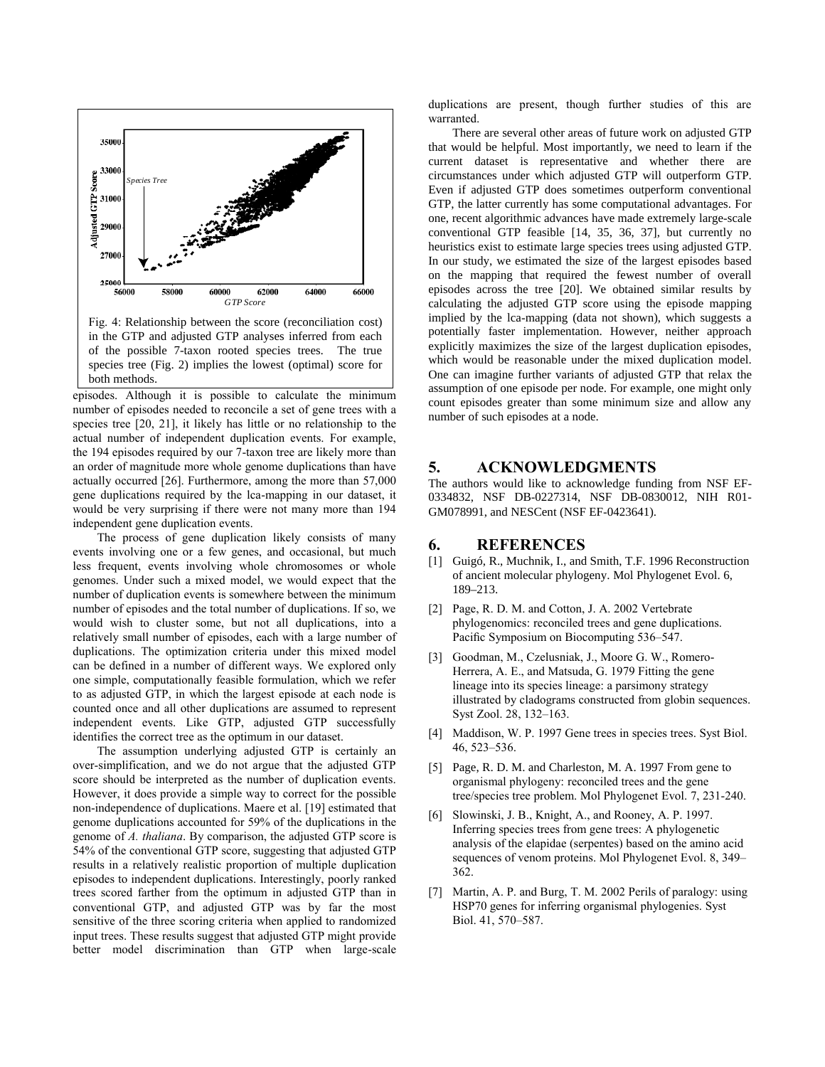

in the GTP and adjusted GTP analyses inferred from each of the possible 7-taxon rooted species trees. The true species tree (Fig. 2) implies the lowest (optimal) score for both methods.

episodes. Although it is possible to calculate the minimum number of episodes needed to reconcile a set of gene trees with a species tree [20, 21], it likely has little or no relationship to the actual number of independent duplication events. For example, the 194 episodes required by our 7-taxon tree are likely more than an order of magnitude more whole genome duplications than have actually occurred [26]. Furthermore, among the more than 57,000 gene duplications required by the lca-mapping in our dataset, it would be very surprising if there were not many more than 194 independent gene duplication events.

The process of gene duplication likely consists of many events involving one or a few genes, and occasional, but much less frequent, events involving whole chromosomes or whole genomes. Under such a mixed model, we would expect that the number of duplication events is somewhere between the minimum number of episodes and the total number of duplications. If so, we would wish to cluster some, but not all duplications, into a relatively small number of episodes, each with a large number of duplications. The optimization criteria under this mixed model can be defined in a number of different ways. We explored only one simple, computationally feasible formulation, which we refer to as adjusted GTP, in which the largest episode at each node is counted once and all other duplications are assumed to represent independent events. Like GTP, adjusted GTP successfully identifies the correct tree as the optimum in our dataset.

The assumption underlying adjusted GTP is certainly an over-simplification, and we do not argue that the adjusted GTP score should be interpreted as the number of duplication events. However, it does provide a simple way to correct for the possible non-independence of duplications. Maere et al. [19] estimated that genome duplications accounted for 59% of the duplications in the genome of *A. thaliana*. By comparison, the adjusted GTP score is 54% of the conventional GTP score, suggesting that adjusted GTP results in a relatively realistic proportion of multiple duplication episodes to independent duplications. Interestingly, poorly ranked trees scored farther from the optimum in adjusted GTP than in conventional GTP, and adjusted GTP was by far the most sensitive of the three scoring criteria when applied to randomized input trees. These results suggest that adjusted GTP might provide better model discrimination than GTP when large-scale duplications are present, though further studies of this are warranted.

There are several other areas of future work on adjusted GTP that would be helpful. Most importantly, we need to learn if the current dataset is representative and whether there are circumstances under which adjusted GTP will outperform GTP. Even if adjusted GTP does sometimes outperform conventional GTP, the latter currently has some computational advantages. For one, recent algorithmic advances have made extremely large-scale conventional GTP feasible [14, 35, 36, 37], but currently no heuristics exist to estimate large species trees using adjusted GTP. In our study, we estimated the size of the largest episodes based on the mapping that required the fewest number of overall episodes across the tree [20]. We obtained similar results by calculating the adjusted GTP score using the episode mapping implied by the lca-mapping (data not shown), which suggests a potentially faster implementation. However, neither approach explicitly maximizes the size of the largest duplication episodes, which would be reasonable under the mixed duplication model. One can imagine further variants of adjusted GTP that relax the assumption of one episode per node. For example, one might only count episodes greater than some minimum size and allow any number of such episodes at a node.

## **5. ACKNOWLEDGMENTS**

The authors would like to acknowledge funding from NSF EF-0334832, NSF DB-0227314, NSF DB-0830012, NIH R01- GM078991, and NESCent (NSF EF-0423641).

## **6. REFERENCES**

- [1] Guigó, R., Muchnik, I., and Smith, T.F. 1996 Reconstruction of ancient molecular phylogeny. Mol Phylogenet Evol. 6, 189–213.
- [2] Page, R. D. M. and Cotton, J. A. 2002 Vertebrate phylogenomics: reconciled trees and gene duplications. Pacific Symposium on Biocomputing 536–547.
- [3] Goodman, M., Czelusniak, J., Moore G. W., Romero-Herrera, A. E., and Matsuda, G. 1979 Fitting the gene lineage into its species lineage: a parsimony strategy illustrated by cladograms constructed from globin sequences. Syst Zool. 28, 132–163.
- [4] Maddison, W. P. 1997 Gene trees in species trees. Syst Biol. 46, 523–536.
- [5] Page, R. D. M. and Charleston, M. A. 1997 From gene to organismal phylogeny: reconciled trees and the gene tree/species tree problem. Mol Phylogenet Evol. 7, 231-240.
- [6] Slowinski, J. B., Knight, A., and Rooney, A. P. 1997. Inferring species trees from gene trees: A phylogenetic analysis of the elapidae (serpentes) based on the amino acid sequences of venom proteins. Mol Phylogenet Evol. 8, 349– 362.
- [7] Martin, A. P. and Burg, T. M. 2002 Perils of paralogy: using HSP70 genes for inferring organismal phylogenies. Syst Biol. 41, 570–587.